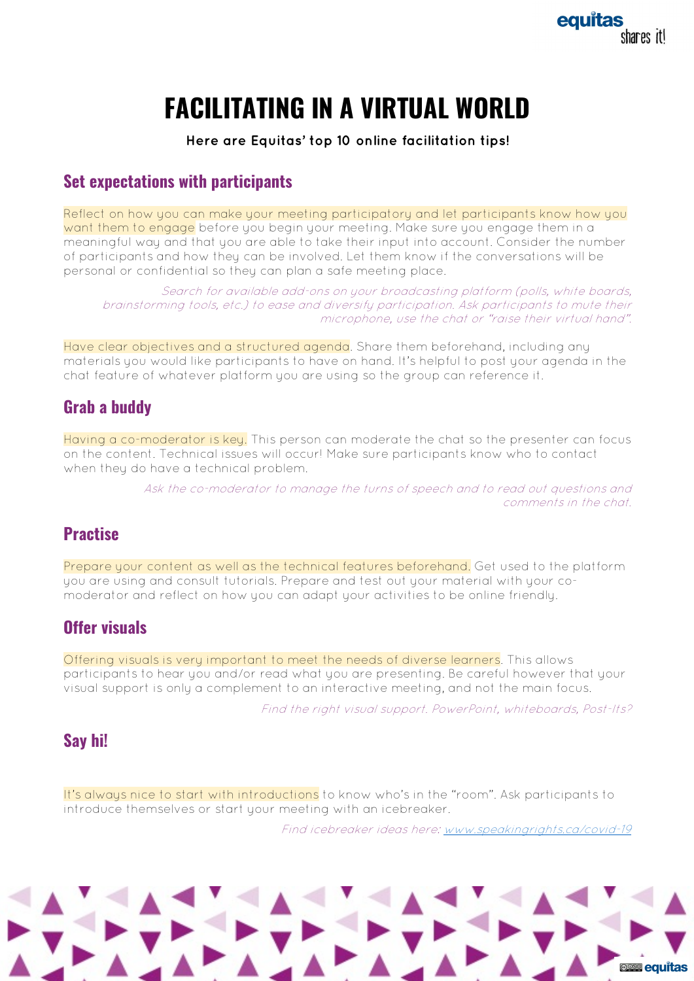# **FACILITATING IN A VIRTUAL WORLD**

**Here are Equitas' top 10 online facilitation tips!** 

#### **Set expectations with participants**

Reflect on how you can make your meeting participatory and let participants know how you want them to engage before you begin your meeting. Make sure you engage them in a meaningful way and that you are able to take their input into account. Consider the number of participants and how they can be involved. Let them know if the conversations will be personal or confidential so they can plan a safe meeting place.

Search for available add-ons on your broadcasting platform (polls, white boards, brainstorming tools, etc.) to ease and diversify participation. Ask participants to mute their microphone, use the chat or "raise their virtual hand".

Have clear objectives and a structured agenda. Share them beforehand, including any materials you would like participants to have on hand. It's helpful to post your agenda in the chat feature of whatever platform you are using so the group can reference it.

# **Grab a buddy**

Having a co-moderator is key. This person can moderate the chat so the presenter can focus on the content. Technical issues will occur! Make sure participants know who to contact when they do have a technical problem.

> Ask the co-moderator to manage the turns of speech and to read out questions and comments in the chat.

# **Practise**

Prepare your content as well as the technical features beforehand. Get used to the platform you are using and consult tutorials. Prepare and test out your material with your comoderator and reflect on how you can adapt your activities to be online friendly.

# **Offer visuals**

Offering visuals is very important to meet the needs of diverse learners. This allows participants to hear you and/or read what you are presenting. Be careful however that your visual support is only a complement to an interactive meeting, and not the main focus.

Find the right visual support. PowerPoint, whiteboards, Post-Its?

## **Say hi!**

It's always nice to start with introductions to know who's in the "room". Ask participants to introduce themselves or start your meeting with an icebreaker.

Find icebreaker ideas here: www.speakingrights.ca/covid-19